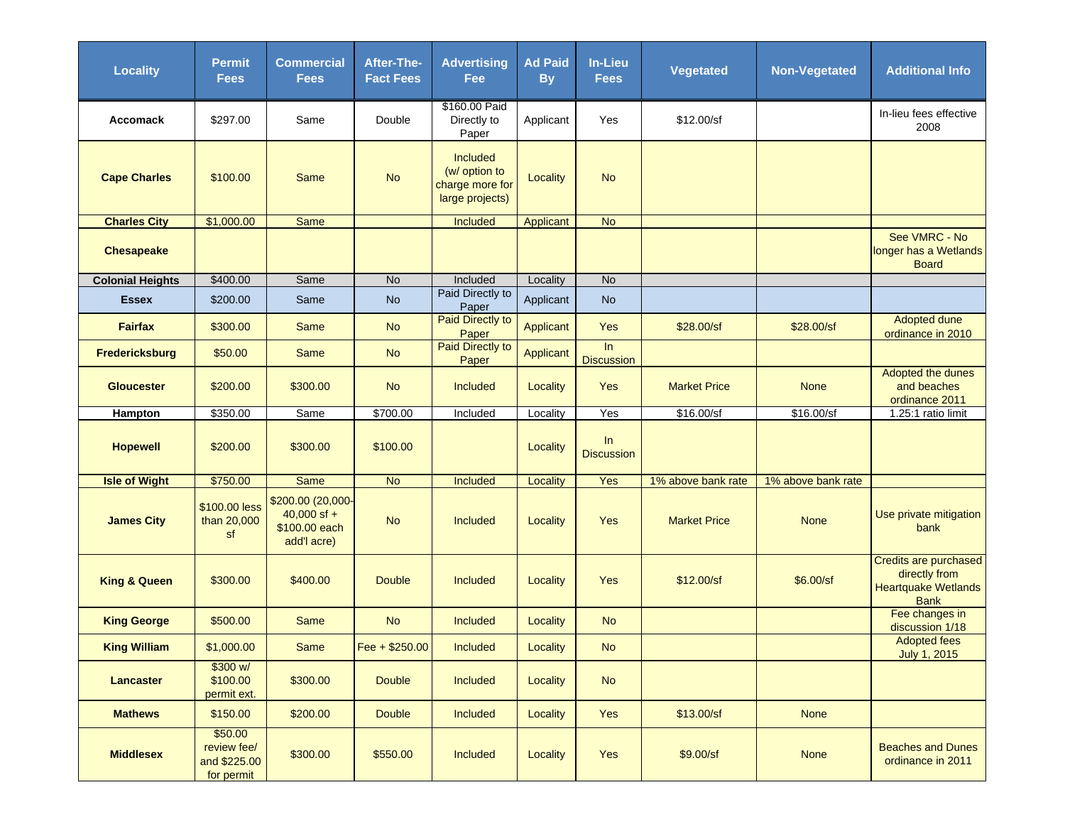| <b>Locality</b>         | <b>Permit</b><br><b>Fees</b>                         | <b>Commercial</b><br><b>Fees</b>                                   | After-The-<br><b>Fact Fees</b> | <b>Advertising</b><br>Fee                                              | <b>Ad Paid</b><br><b>By</b> | In-Lieu<br><b>Fees</b>  | <b>Vegetated</b>    | <b>Non-Vegetated</b> | <b>Additional Info</b>                                                              |
|-------------------------|------------------------------------------------------|--------------------------------------------------------------------|--------------------------------|------------------------------------------------------------------------|-----------------------------|-------------------------|---------------------|----------------------|-------------------------------------------------------------------------------------|
| Accomack                | \$297.00                                             | Same                                                               | Double                         | \$160.00 Paid<br>Directly to<br>Paper                                  | Applicant                   | Yes                     | \$12.00/sf          |                      | In-lieu fees effective<br>2008                                                      |
| <b>Cape Charles</b>     | \$100.00                                             | Same                                                               | <b>No</b>                      | <b>Included</b><br>(w/ option to<br>charge more for<br>large projects) | Locality                    | <b>No</b>               |                     |                      |                                                                                     |
| <b>Charles City</b>     | \$1,000.00                                           | Same                                                               |                                | Included                                                               | Applicant                   | <b>No</b>               |                     |                      |                                                                                     |
| <b>Chesapeake</b>       |                                                      |                                                                    |                                |                                                                        |                             |                         |                     |                      | See VMRC - No<br>longer has a Wetlands<br><b>Board</b>                              |
| <b>Colonial Heights</b> | \$400.00                                             | Same                                                               | $\overline{N}$                 | Included                                                               | Locality                    | No                      |                     |                      |                                                                                     |
| <b>Essex</b>            | \$200.00                                             | Same                                                               | <b>No</b>                      | Paid Directly to<br>Paper                                              | Applicant                   | <b>No</b>               |                     |                      |                                                                                     |
| <b>Fairfax</b>          | \$300.00                                             | Same                                                               | <b>No</b>                      | <b>Paid Directly to</b><br>Paper                                       | Applicant                   | Yes                     | \$28.00/sf          | \$28.00/sf           | Adopted dune<br>ordinance in 2010                                                   |
| <b>Fredericksburg</b>   | \$50.00                                              | <b>Same</b>                                                        | <b>No</b>                      | <b>Paid Directly to</b><br>Paper                                       | Applicant                   | ln<br><b>Discussion</b> |                     |                      |                                                                                     |
| <b>Gloucester</b>       | \$200.00                                             | \$300.00                                                           | <b>No</b>                      | <b>Included</b>                                                        | Locality                    | Yes                     | <b>Market Price</b> | <b>None</b>          | Adopted the dunes<br>and beaches<br>ordinance 2011                                  |
| Hampton                 | \$350.00                                             | Same                                                               | \$700.00                       | Included                                                               | Locality                    | Yes                     | \$16.00/sf          | \$16.00/sf           | 1.25:1 ratio limit                                                                  |
| <b>Hopewell</b>         | \$200.00                                             | \$300.00                                                           | \$100.00                       |                                                                        | Locality                    | In<br><b>Discussion</b> |                     |                      |                                                                                     |
| <b>Isle of Wight</b>    | \$750.00                                             | <b>Same</b>                                                        | <b>No</b>                      | Included                                                               | Locality                    | Yes                     | 1% above bank rate  | 1% above bank rate   |                                                                                     |
| <b>James City</b>       | \$100.00 less<br>than 20,000<br>sf                   | \$200.00 (20,000-<br>$40,000$ sf +<br>\$100.00 each<br>add'l acre) | <b>No</b>                      | <b>Included</b>                                                        | Locality                    | Yes                     | <b>Market Price</b> | <b>None</b>          | Use private mitigation<br>bank                                                      |
| <b>King &amp; Queen</b> | \$300.00                                             | \$400.00                                                           | <b>Double</b>                  | <b>Included</b>                                                        | Locality                    | Yes                     | \$12.00/sf          | \$6.00/sf            | Credits are purchased<br>directly from<br><b>Heartquake Wetlands</b><br><b>Bank</b> |
| <b>King George</b>      | \$500.00                                             | Same                                                               | <b>No</b>                      | <b>Included</b>                                                        | <b>Locality</b>             | <b>No</b>               |                     |                      | Fee changes in<br>discussion 1/18                                                   |
| <b>King William</b>     | \$1,000.00                                           | <b>Same</b>                                                        | Fee + \$250.00                 | Included                                                               | Locality                    | N <sub>o</sub>          |                     |                      | <b>Adopted fees</b><br>July 1, 2015                                                 |
| <b>Lancaster</b>        | \$300 w/<br>\$100.00<br>permit ext.                  | \$300.00                                                           | <b>Double</b>                  | <b>Included</b>                                                        | Locality                    | <b>No</b>               |                     |                      |                                                                                     |
| <b>Mathews</b>          | \$150.00                                             | \$200.00                                                           | <b>Double</b>                  | <b>Included</b>                                                        | Locality                    | Yes                     | \$13.00/sf          | <b>None</b>          |                                                                                     |
| <b>Middlesex</b>        | \$50.00<br>review fee/<br>and \$225.00<br>for permit | \$300.00                                                           | \$550.00                       | <b>Included</b>                                                        | Locality                    | Yes                     | \$9.00/sf           | <b>None</b>          | <b>Beaches and Dunes</b><br>ordinance in 2011                                       |